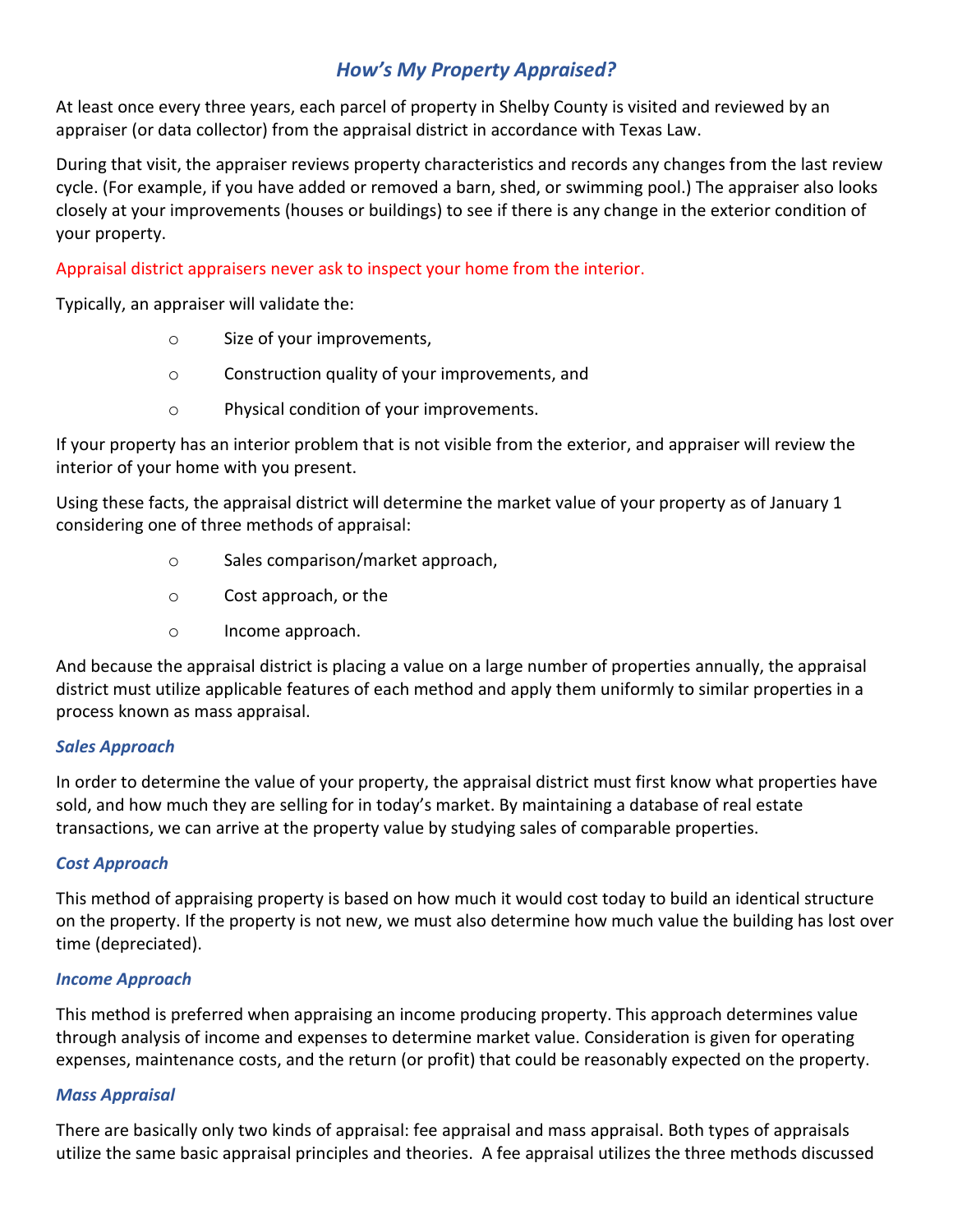# *How's My Property Appraised?*

At least once every three years, each parcel of property in Shelby County is visited and reviewed by an appraiser (or data collector) from the appraisal district in accordance with Texas Law.

During that visit, the appraiser reviews property characteristics and records any changes from the last review cycle. (For example, if you have added or removed a barn, shed, or swimming pool.) The appraiser also looks closely at your improvements (houses or buildings) to see if there is any change in the exterior condition of your property.

Appraisal district appraisers never ask to inspect your home from the interior.

Typically, an appraiser will validate the:

- o Size of your improvements,
- o Construction quality of your improvements, and
- o Physical condition of your improvements.

If your property has an interior problem that is not visible from the exterior, and appraiser will review the interior of your home with you present.

Using these facts, the appraisal district will determine the market value of your property as of January 1 considering one of three methods of appraisal:

- o Sales comparison/market approach,
- o Cost approach, or the
- o Income approach.

And because the appraisal district is placing a value on a large number of properties annually, the appraisal district must utilize applicable features of each method and apply them uniformly to similar properties in a process known as mass appraisal.

### *Sales Approach*

In order to determine the value of your property, the appraisal district must first know what properties have sold, and how much they are selling for in today's market. By maintaining a database of real estate transactions, we can arrive at the property value by studying sales of comparable properties.

# *Cost Approach*

This method of appraising property is based on how much it would cost today to build an identical structure on the property. If the property is not new, we must also determine how much value the building has lost over time (depreciated).

# *Income Approach*

This method is preferred when appraising an income producing property. This approach determines value through analysis of income and expenses to determine market value. Consideration is given for operating expenses, maintenance costs, and the return (or profit) that could be reasonably expected on the property.

### *Mass Appraisal*

There are basically only two kinds of appraisal: fee appraisal and mass appraisal. Both types of appraisals utilize the same basic appraisal principles and theories. A fee appraisal utilizes the three methods discussed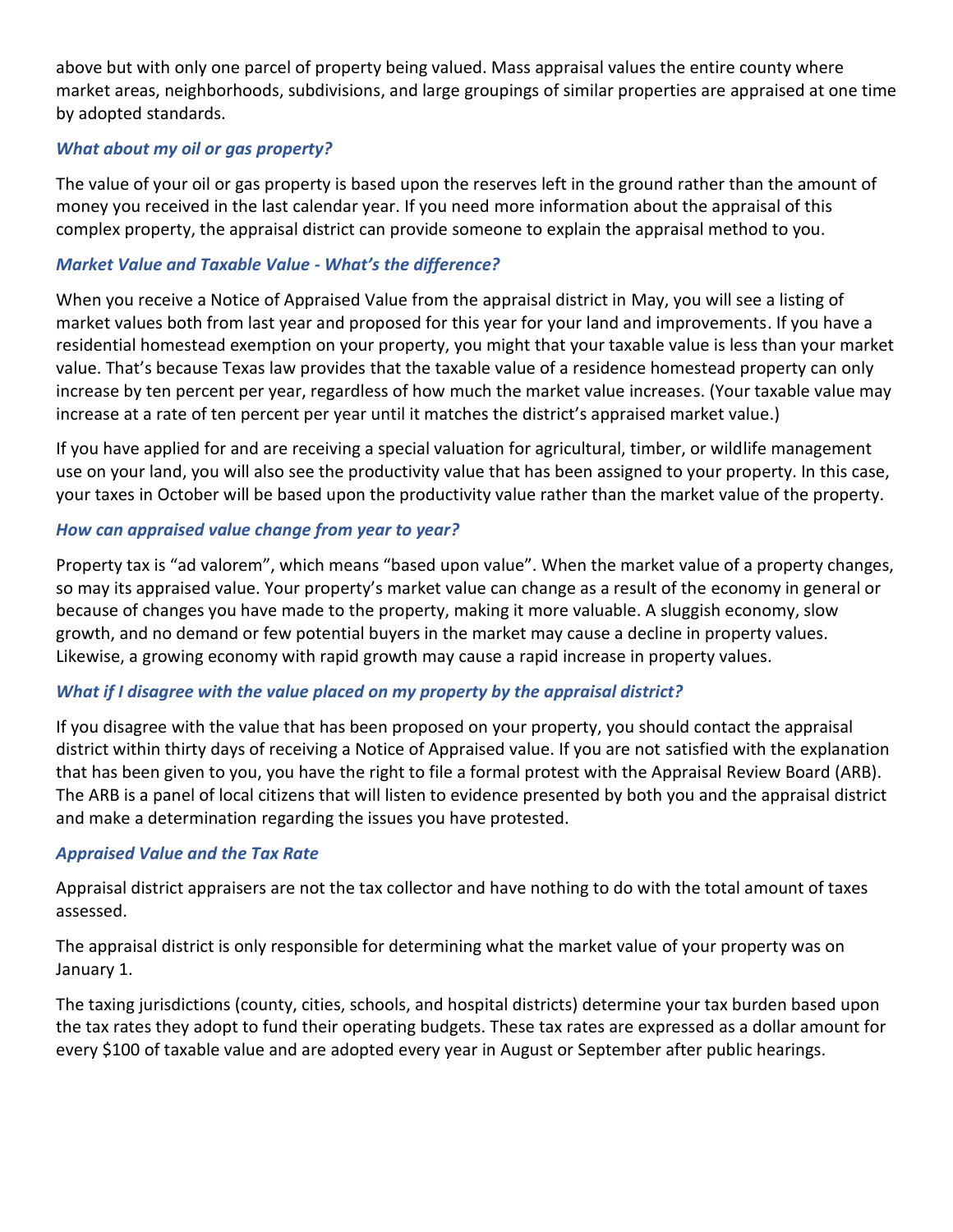above but with only one parcel of property being valued. Mass appraisal values the entire county where market areas, neighborhoods, subdivisions, and large groupings of similar properties are appraised at one time by adopted standards.

### *What about my oil or gas property?*

The value of your oil or gas property is based upon the reserves left in the ground rather than the amount of money you received in the last calendar year. If you need more information about the appraisal of this complex property, the appraisal district can provide someone to explain the appraisal method to you.

#### *Market Value and Taxable Value - What's the difference?*

When you receive a Notice of Appraised Value from the appraisal district in May, you will see a listing of market values both from last year and proposed for this year for your land and improvements. If you have a residential homestead exemption on your property, you might that your taxable value is less than your market value. That's because Texas law provides that the taxable value of a residence homestead property can only increase by ten percent per year, regardless of how much the market value increases. (Your taxable value may increase at a rate of ten percent per year until it matches the district's appraised market value.)

If you have applied for and are receiving a special valuation for agricultural, timber, or wildlife management use on your land, you will also see the productivity value that has been assigned to your property. In this case, your taxes in October will be based upon the productivity value rather than the market value of the property.

### *How can appraised value change from year to year?*

Property tax is "ad valorem", which means "based upon value". When the market value of a property changes, so may its appraised value. Your property's market value can change as a result of the economy in general or because of changes you have made to the property, making it more valuable. A sluggish economy, slow growth, and no demand or few potential buyers in the market may cause a decline in property values. Likewise, a growing economy with rapid growth may cause a rapid increase in property values.

### *What if I disagree with the value placed on my property by the appraisal district?*

If you disagree with the value that has been proposed on your property, you should contact the appraisal district within thirty days of receiving a Notice of Appraised value. If you are not satisfied with the explanation that has been given to you, you have the right to file a formal protest with the Appraisal Review Board (ARB). The ARB is a panel of local citizens that will listen to evidence presented by both you and the appraisal district and make a determination regarding the issues you have protested.

#### *Appraised Value and the Tax Rate*

Appraisal district appraisers are not the tax collector and have nothing to do with the total amount of taxes assessed.

The appraisal district is only responsible for determining what the market value of your property was on January 1.

The taxing jurisdictions (county, cities, schools, and hospital districts) determine your tax burden based upon the tax rates they adopt to fund their operating budgets. These tax rates are expressed as a dollar amount for every \$100 of taxable value and are adopted every year in August or September after public hearings.